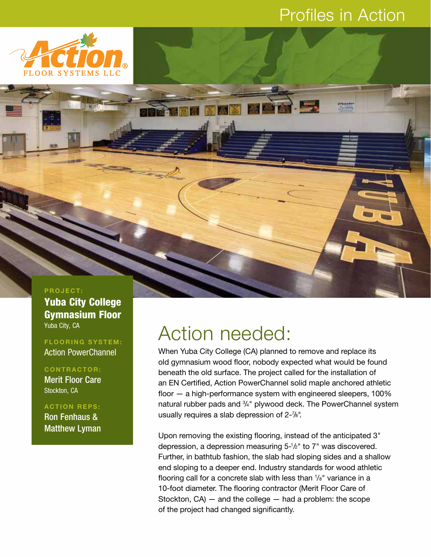#### Profiles in Action



#### **PROJECT:**

**Yuba City College Gymnasium Floor** Yuba City, CA

**FLOORING SYSTEM:** Action PowerChannel

**CONTRACTOR:** Merit Floor Care Stockton, CA

**ACTION REPS:** Ron Fenhaus & Matthew Lyman

## Action needed:

When Yuba City College (CA) planned to remove and replace its old gymnasium wood floor, nobody expected what would be found beneath the old surface. The project called for the installation of an EN Certified, Action PowerChannel solid maple anchored athletic floor — a high-performance system with engineered sleepers, 100% natural rubber pads and 3/4" plywood deck. The PowerChannel system usually requires a slab depression of 2-7 /8".

Upon removing the existing flooring, instead of the anticipated 3" depression, a depression measuring 5-1 /2" to 7" was discovered. Further, in bathtub fashion, the slab had sloping sides and a shallow end sloping to a deeper end. Industry standards for wood athletic flooring call for a concrete slab with less than 1/8" variance in a 10-foot diameter. The flooring contractor (Merit Floor Care of Stockton,  $CA$ ) – and the college – had a problem: the scope of the project had changed significantly.